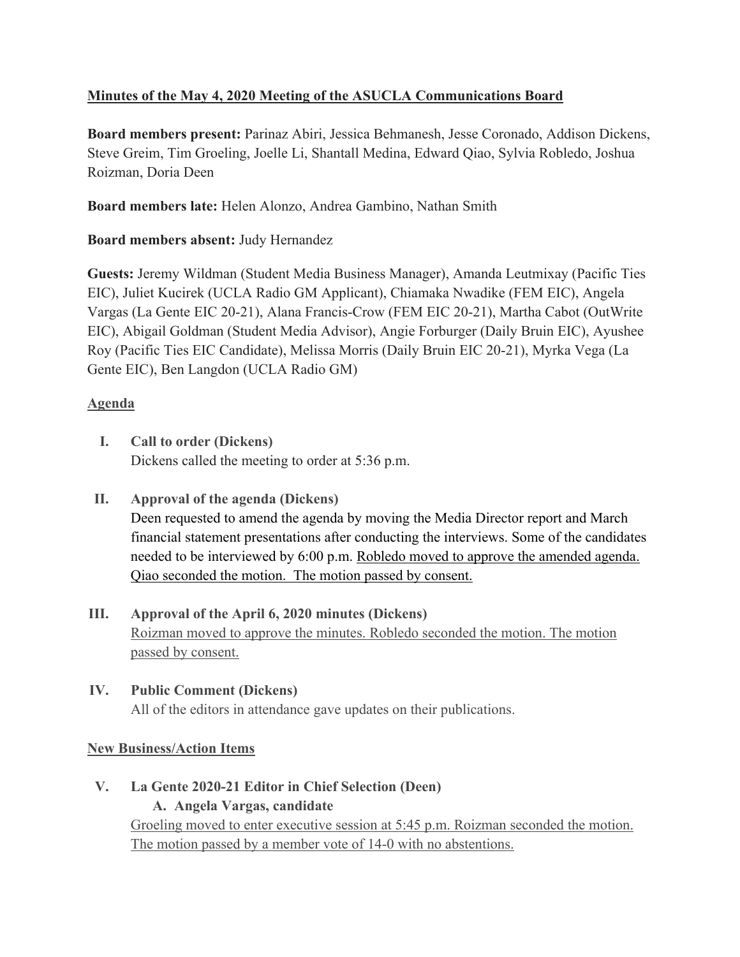## **Minutes of the May 4, 2020 Meeting of the ASUCLA Communications Board**

**Board members present:** Parinaz Abiri, Jessica Behmanesh, Jesse Coronado, Addison Dickens, Steve Greim, Tim Groeling, Joelle Li, Shantall Medina, Edward Qiao, Sylvia Robledo, Joshua Roizman, Doria Deen

**Board members late:** Helen Alonzo, Andrea Gambino, Nathan Smith

## **Board members absent:** Judy Hernandez

**Guests:** Jeremy Wildman (Student Media Business Manager), Amanda Leutmixay (Pacific Ties EIC), Juliet Kucirek (UCLA Radio GM Applicant), Chiamaka Nwadike (FEM EIC), Angela Vargas (La Gente EIC 20-21), Alana Francis-Crow (FEM EIC 20-21), Martha Cabot (OutWrite EIC), Abigail Goldman (Student Media Advisor), Angie Forburger (Daily Bruin EIC), Ayushee Roy (Pacific Ties EIC Candidate), Melissa Morris (Daily Bruin EIC 20-21), Myrka Vega (La Gente EIC), Ben Langdon (UCLA Radio GM)

## **Agenda**

- **I. Call to order (Dickens)** Dickens called the meeting to order at 5:36 p.m.
- **II. Approval of the agenda (Dickens)** Deen requested to amend the agenda by moving the Media Director report and March financial statement presentations after conducting the interviews. Some of the candidates needed to be interviewed by 6:00 p.m. Robledo moved to approve the amended agenda. Qiao seconded the motion. The motion passed by consent.
- **III. Approval of the April 6, 2020 minutes (Dickens)** Roizman moved to approve the minutes. Robledo seconded the motion. The motion passed by consent.

# **IV. Public Comment (Dickens)** All of the editors in attendance gave updates on their publications.

# **New Business/Action Items**

**V. La Gente 2020-21 Editor in Chief Selection (Deen) A. Angela Vargas, candidate** Groeling moved to enter executive session at 5:45 p.m. Roizman seconded the motion. The motion passed by a member vote of 14-0 with no abstentions.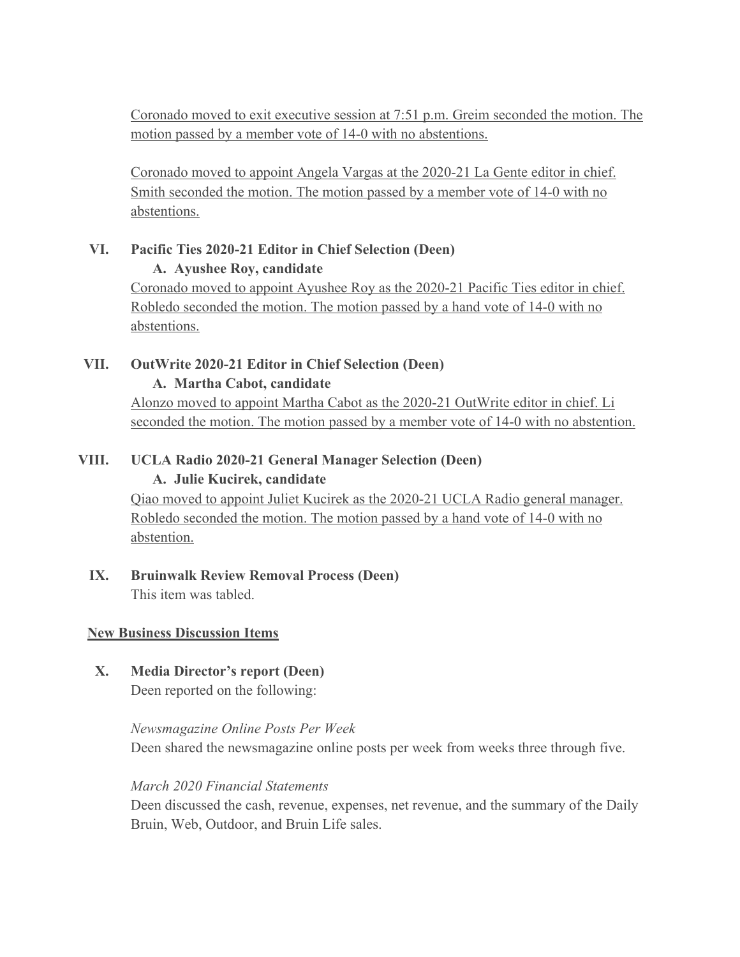Coronado moved to exit executive session at 7:51 p.m. Greim seconded the motion. The motion passed by a member vote of 14-0 with no abstentions.

Coronado moved to appoint Angela Vargas at the 2020-21 La Gente editor in chief. Smith seconded the motion. The motion passed by a member vote of 14-0 with no abstentions.

## **VI. Pacific Ties 2020-21 Editor in Chief Selection (Deen)**

#### **A. Ayushee Roy, candidate**

Coronado moved to appoint Ayushee Roy as the 2020-21 Pacific Ties editor in chief. Robledo seconded the motion. The motion passed by a hand vote of 14-0 with no abstentions.

#### **VII. OutWrite 2020-21 Editor in Chief Selection (Deen) A. Martha Cabot, candidate**

Alonzo moved to appoint Martha Cabot as the 2020-21 OutWrite editor in chief. Li seconded the motion. The motion passed by a member vote of 14-0 with no abstention.

# **VIII. UCLA Radio 2020-21 General Manager Selection (Deen)**

#### **A. Julie Kucirek, candidate**

Qiao moved to appoint Juliet Kucirek as the 2020-21 UCLA Radio general manager. Robledo seconded the motion. The motion passed by a hand vote of 14-0 with no abstention.

## **IX. Bruinwalk Review Removal Process (Deen)** This item was tabled.

## **New Business Discussion Items**

## **X. Media Director's report (Deen)** Deen reported on the following:

## *Newsmagazine Online Posts Per Week* Deen shared the newsmagazine online posts per week from weeks three through five.

#### *March 2020 Financial Statements*

Deen discussed the cash, revenue, expenses, net revenue, and the summary of the Daily Bruin, Web, Outdoor, and Bruin Life sales.